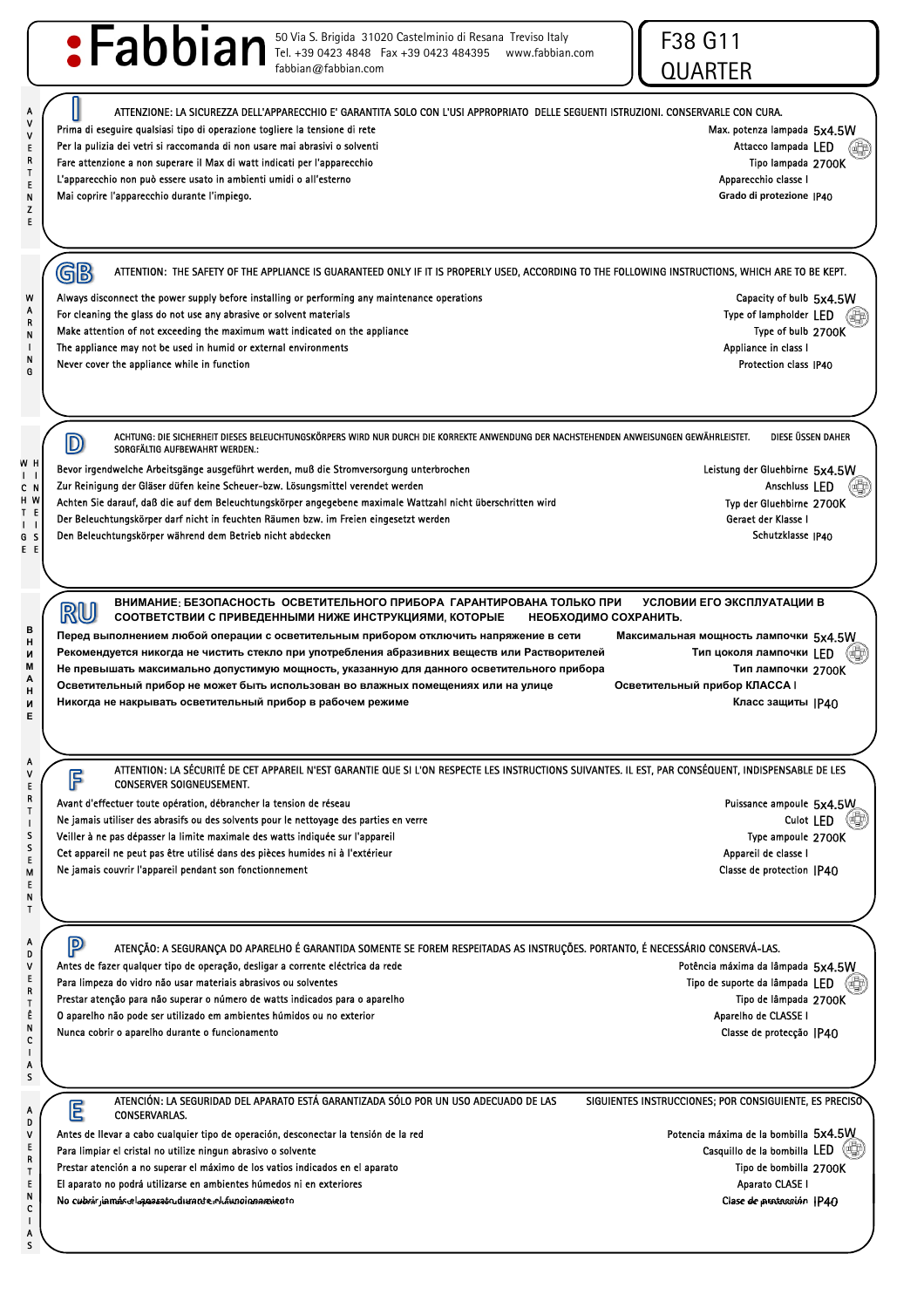## 50 Via S. Brigida 31020 Castelminio di Resana Treviso Italy Tel. +39 0423 4848 Fax +39 0423 484395 www.fabbian.com fabbian@fabbian.com A V V E R T E N Z E

W – C H T – G E

I A S

F38 G11 QUARTER

| A<br>۷                |                                                                                                                                                                                                                                                                                                                                                                                                                                                    |                                                                                                       |
|-----------------------|----------------------------------------------------------------------------------------------------------------------------------------------------------------------------------------------------------------------------------------------------------------------------------------------------------------------------------------------------------------------------------------------------------------------------------------------------|-------------------------------------------------------------------------------------------------------|
| ٧<br>E<br>R<br>т<br>E | ATTENZIONE: LA SICUREZZA DELL'APPARECCHIO E' GARANTITA SOLO CON L'USI APPROPRIATO DELLE SEGUENTI ISTRUZIONI. CONSERVARLE CON CURA.<br>Prima di eseguire qualsiasi tipo di operazione togliere la tensione di rete<br>Per la pulizia dei vetri si raccomanda di non usare mai abrasivi o solventi<br>Fare attenzione a non superare il Max di watt indicati per l'apparecchio<br>L'apparecchio non può essere usato in ambienti umidi o all'esterno | Max. potenza lampada 5x4.5W<br>Attacco lampada LED<br>Œ<br>Tipo lampada 2700K<br>Apparecchio classe I |
| N<br>z<br>E           | Mai coprire l'apparecchio durante l'impiego.                                                                                                                                                                                                                                                                                                                                                                                                       | Grado di protezione IP40                                                                              |
|                       | GB<br>ATTENTION: THE SAFETY OF THE APPLIANCE IS GUARANTEED ONLY IF IT IS PROPERLY USED, ACCORDING TO THE FOLLOWING INSTRUCTIONS, WHICH ARE TO BE KEPT.                                                                                                                                                                                                                                                                                             |                                                                                                       |
| W                     | Always disconnect the power supply before installing or performing any maintenance operations                                                                                                                                                                                                                                                                                                                                                      | Capacity of bulb 5x4.5W                                                                               |
| ٨<br>R                | For cleaning the glass do not use any abrasive or solvent materials                                                                                                                                                                                                                                                                                                                                                                                | Type of lampholder LED                                                                                |
| N                     | Make attention of not exceeding the maximum watt indicated on the appliance                                                                                                                                                                                                                                                                                                                                                                        | Type of bulb 2700K                                                                                    |
| N                     | The appliance may not be used in humid or external environments                                                                                                                                                                                                                                                                                                                                                                                    | Appliance in class I                                                                                  |
| G                     | Never cover the appliance while in function                                                                                                                                                                                                                                                                                                                                                                                                        | Protection class IP40                                                                                 |
|                       |                                                                                                                                                                                                                                                                                                                                                                                                                                                    |                                                                                                       |
| Н                     | ACHTUNG: DIE SICHERHEIT DIESES BELEUCHTUNGSKÖRPERS WIRD NUR DURCH DIE KORREKTE ANWENDUNG DER NACHSTEHENDEN ANWEISUNGEN GEWÄHRLEISTET.<br>$\mathbb{D}$<br>SORGFÄLTIG AUFBEWAHRT WERDEN.:                                                                                                                                                                                                                                                            | DIESE ÜSSEN DAHER                                                                                     |
| $\mathbf{I}$          | Bevor irgendwelche Arbeitsgänge ausgeführt werden, muß die Stromversorgung unterbrochen                                                                                                                                                                                                                                                                                                                                                            | Leistung der Gluehbirne 5x4.5W                                                                        |
| N<br>W                | Zur Reinigung der Gläser düfen keine Scheuer-bzw. Lösungsmittel verendet werden<br>Achten Sie darauf, daß die auf dem Beleuchtungskörper angegebene maximale Wattzahl nicht überschritten wird                                                                                                                                                                                                                                                     | Anschluss LED                                                                                         |
| E                     | Der Beleuchtungskörper darf nicht in feuchten Räumen bzw. im Freien eingesetzt werden                                                                                                                                                                                                                                                                                                                                                              | Typ der Gluehbirne 2700K<br>Geraet der Klasse I                                                       |
| I<br>S                | Den Beleuchtungskörper während dem Betrieb nicht abdecken                                                                                                                                                                                                                                                                                                                                                                                          | Schutzklasse IP40                                                                                     |
| E                     |                                                                                                                                                                                                                                                                                                                                                                                                                                                    |                                                                                                       |
|                       |                                                                                                                                                                                                                                                                                                                                                                                                                                                    |                                                                                                       |
|                       | ВНИМАНИЕ: БЕЗОПАСНОСТЬ ОСВЕТИТЕЛЬНОГО ПРИБОРА ГАРАНТИРОВАНА ТОЛЬКО ПРИ<br>RU<br>СООТВЕТСТВИИ С ПРИВЕДЕННЫМИ НИЖЕ ИНСТРУКЦИЯМИ, КОТОРЫЕ<br>НЕОБХОДИМО СОХРАНИТЬ.                                                                                                                                                                                                                                                                                    | УСЛОВИИ ЕГО ЭКСПЛУАТАЦИИ В                                                                            |
| В<br>н                | Перед выполнением любой операции с осветительным прибором отключить напряжение в сети                                                                                                                                                                                                                                                                                                                                                              | Максимальная мощность лампочки 5x4.5W                                                                 |
| N<br>M                | Рекомендуется никогда не чистить стекло при употребления абразивних веществ или Растворителей                                                                                                                                                                                                                                                                                                                                                      | Тип цоколя лампочки LED<br>蠕                                                                          |
| А                     | Не превышать максимально допустимую мощность, указанную для данного осветительного прибора<br>Осветительный прибор не может быть использован во влажных помещениях или на улице                                                                                                                                                                                                                                                                    | Тип лампочки 2700К<br>Осветительный прибор КЛАССА І                                                   |
| н<br>И                | Никогда не накрывать осветительный прибор в рабочем режиме                                                                                                                                                                                                                                                                                                                                                                                         | Класс защиты   Р40                                                                                    |
| Е                     |                                                                                                                                                                                                                                                                                                                                                                                                                                                    |                                                                                                       |
|                       |                                                                                                                                                                                                                                                                                                                                                                                                                                                    |                                                                                                       |
|                       |                                                                                                                                                                                                                                                                                                                                                                                                                                                    |                                                                                                       |
| Α<br>ь,               | ATTENTION: LA SÉCURITÉ DE CET APPAREIL N'EST GARANTIE QUE SI L'ON RESPECTE LES INSTRUCTIONS SUIVANTES. IL EST, PAR CONSÉQUENT, INDISPENSABLE DE LES<br>ß<br>CONSERVER SOIGNEUSEMENT.                                                                                                                                                                                                                                                               |                                                                                                       |
|                       | Avant d'effectuer toute opération, débrancher la tension de réseau                                                                                                                                                                                                                                                                                                                                                                                 | Puissance ampoule 5x4.5W                                                                              |
| R<br>T                | Ne jamais utiliser des abrasifs ou des solvents pour le nettoyage des parties en verre                                                                                                                                                                                                                                                                                                                                                             | Culot LED                                                                                             |
| s                     | Veiller à ne pas dépasser la limite maximale des watts indiquée sur l'appareil                                                                                                                                                                                                                                                                                                                                                                     | Type ampoule 2700K                                                                                    |
| S<br>E                | Cet appareil ne peut pas être utilisé dans des pièces humides ni à l'extérieur                                                                                                                                                                                                                                                                                                                                                                     | Appareil de classe l                                                                                  |
| M                     | Ne jamais couvrir l'appareil pendant son fonctionnement                                                                                                                                                                                                                                                                                                                                                                                            | Classe de protection IP40                                                                             |
| E<br>N                |                                                                                                                                                                                                                                                                                                                                                                                                                                                    |                                                                                                       |
| т                     |                                                                                                                                                                                                                                                                                                                                                                                                                                                    |                                                                                                       |
| Α                     |                                                                                                                                                                                                                                                                                                                                                                                                                                                    |                                                                                                       |
| D                     | $\mathsf{P}$<br>ATENÇÃO: A SEGURANÇA DO APARELHO É GARANTIDA SOMENTE SE FOREM RESPEITADAS AS INSTRUÇÕES. PORTANTO, É NECESSÁRIO CONSERVÁ-LAS.                                                                                                                                                                                                                                                                                                      |                                                                                                       |
| ۷<br>E                | Antes de fazer qualquer tipo de operação, desligar a corrente eléctrica da rede                                                                                                                                                                                                                                                                                                                                                                    | Potência máxima da lâmpada 5x4.5W                                                                     |
| R                     | Para limpeza do vidro não usar materiais abrasivos ou solventes<br>Prestar atenção para não superar o número de watts indicados para o aparelho                                                                                                                                                                                                                                                                                                    | Tipo de suporte da lâmpada LED<br>Tipo de lâmpada 2700K                                               |
| T<br>Ê                | O aparelho não pode ser utilizado em ambientes húmidos ou no exterior                                                                                                                                                                                                                                                                                                                                                                              | Aparelho de CLASSE I                                                                                  |
| N                     | Nunca cobrir o aparelho durante o funcionamento                                                                                                                                                                                                                                                                                                                                                                                                    | Classe de protecção IP40                                                                              |
| C                     |                                                                                                                                                                                                                                                                                                                                                                                                                                                    |                                                                                                       |
| Α<br>S                |                                                                                                                                                                                                                                                                                                                                                                                                                                                    |                                                                                                       |
| Α                     | ATENCIÓN: LA SEGURIDAD DEL APARATO ESTÁ GARANTIZADA SÓLO POR UN USO ADECUADO DE LAS                                                                                                                                                                                                                                                                                                                                                                | SIGUIENTES INSTRUCCIONES; POR CONSIGUIENTE, ES PRECISO                                                |
| D                     | E<br><b>CONSERVARLAS.</b>                                                                                                                                                                                                                                                                                                                                                                                                                          |                                                                                                       |
| ٧<br>E                | Antes de llevar a cabo cualquier tipo de operación, desconectar la tensión de la red<br>Para limpiar el cristal no utilize ningun abrasivo o solvente                                                                                                                                                                                                                                                                                              | Potencia máxima de la bombilla 5x4.5V                                                                 |
| R                     | Prestar atención a no superar el máximo de los vatios indicados en el aparato                                                                                                                                                                                                                                                                                                                                                                      | Casquillo de la bombilla LED<br>Tipo de bombilla 2700K                                                |
| T<br>E<br>Ν           | El aparato no podrá utilizarse en ambientes húmedos ni en exteriores                                                                                                                                                                                                                                                                                                                                                                               | Aparato CLASE I                                                                                       |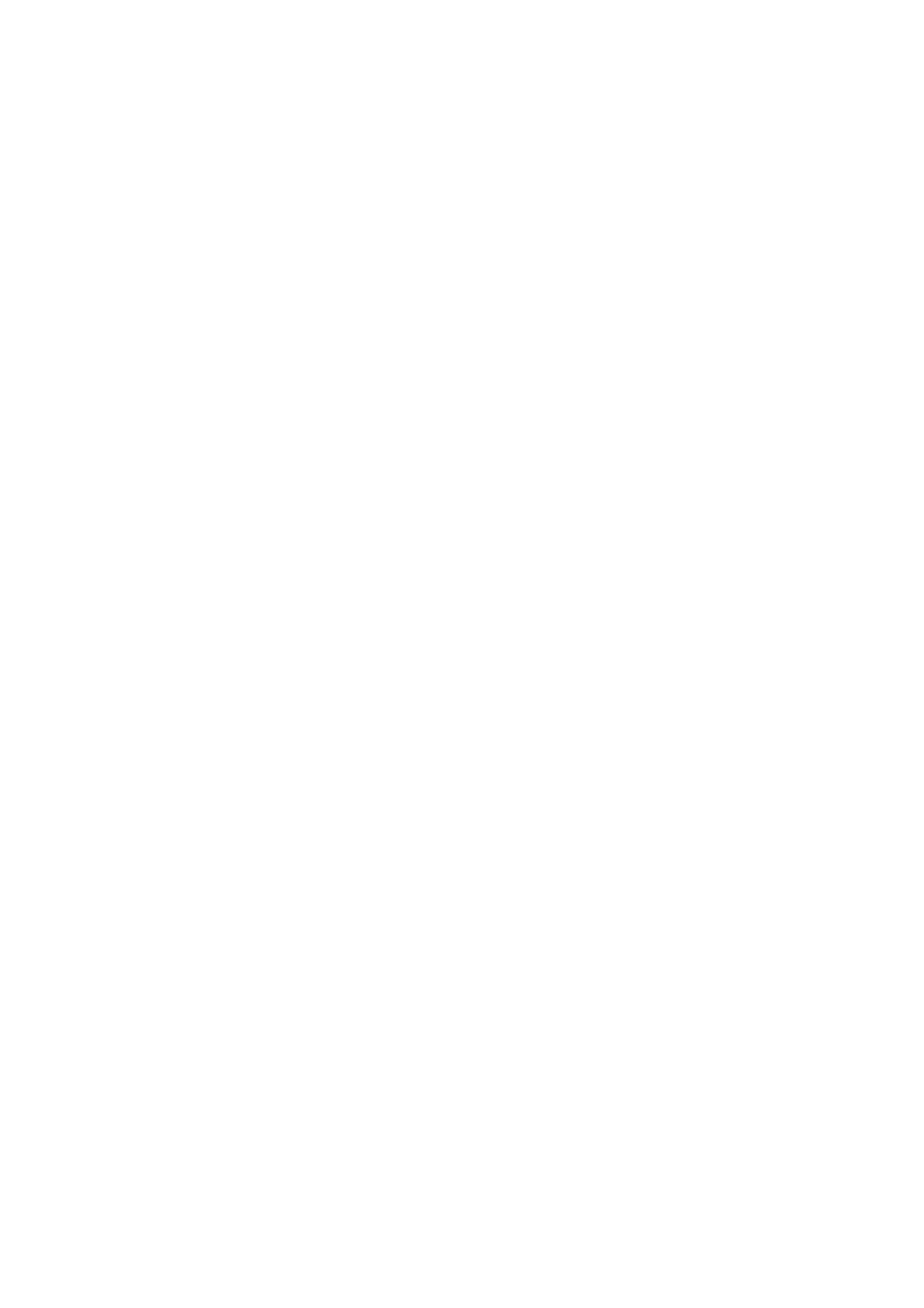